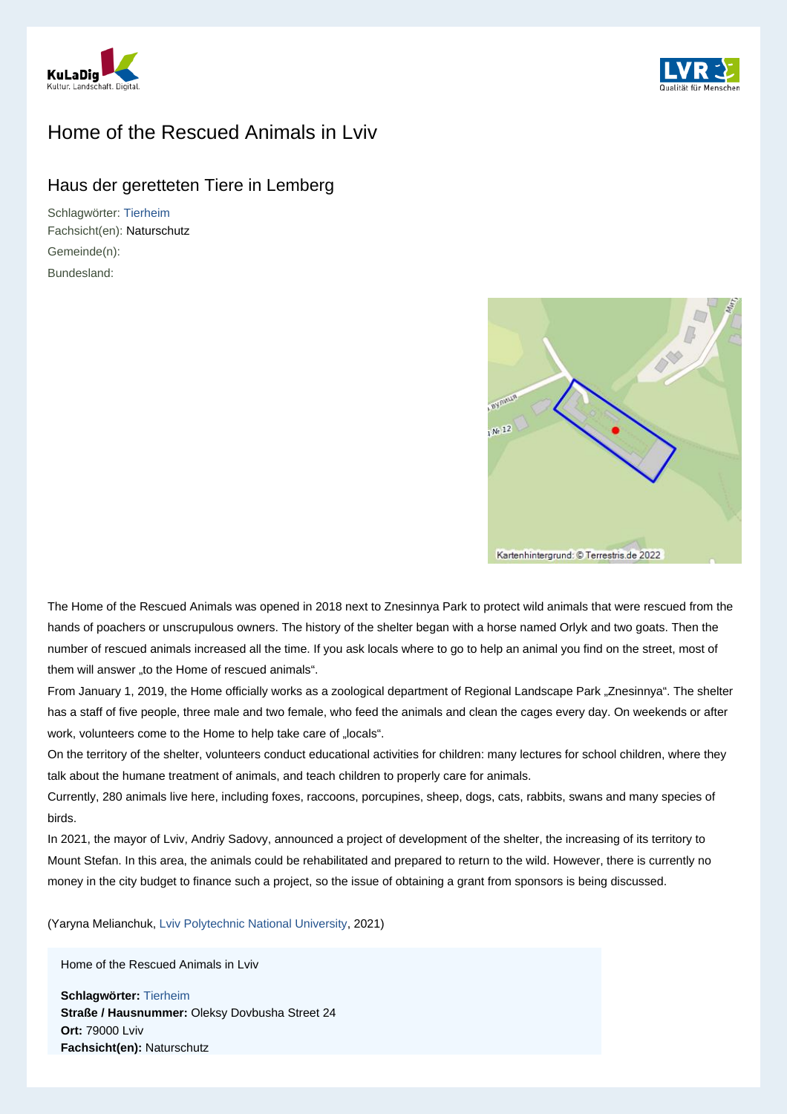



## Home of the Rescued Animals in Lviv

## Haus der geretteten Tiere in Lemberg

Schlagwörter: [Tierheim](http://lvr.vocnet.org/wnk/wk009454) Fachsicht(en): Naturschutz Gemeinde(n): Bundesland:



The Home of the Rescued Animals was opened in 2018 next to Znesinnya Park to protect wild animals that were rescued from the hands of poachers or unscrupulous owners. The history of the shelter began with a horse named Orlyk and two goats. Then the number of rescued animals increased all the time. If you ask locals where to go to help an animal you find on the street, most of them will answer "to the Home of rescued animals".

From January 1, 2019, the Home officially works as a zoological department of Regional Landscape Park "Znesinnya". The shelter has a staff of five people, three male and two female, who feed the animals and clean the cages every day. On weekends or after work, volunteers come to the Home to help take care of "locals".

On the territory of the shelter, volunteers conduct educational activities for children: many lectures for school children, where they talk about the humane treatment of animals, and teach children to properly care for animals.

Currently, 280 animals live here, including foxes, raccoons, porcupines, sheep, dogs, cats, rabbits, swans and many species of birds.

In 2021, the mayor of Lviv, Andriy Sadovy, announced a project of development of the shelter, the increasing of its territory to Mount Stefan. In this area, the animals could be rehabilitated and prepared to return to the wild. However, there is currently no money in the city budget to finance such a project, so the issue of obtaining a grant from sponsors is being discussed.

(Yaryna Melianchuk, [Lviv Polytechnic National University,](https://lpnu.ua/en/dt) 2021)

Home of the Rescued Animals in Lviv

**Schlagwörter:** [Tierheim](http://lvr.vocnet.org/wnk/wk009454) **Straße / Hausnummer:** Oleksy Dovbusha Street 24 **Ort:** 79000 Lviv **Fachsicht(en):** Naturschutz